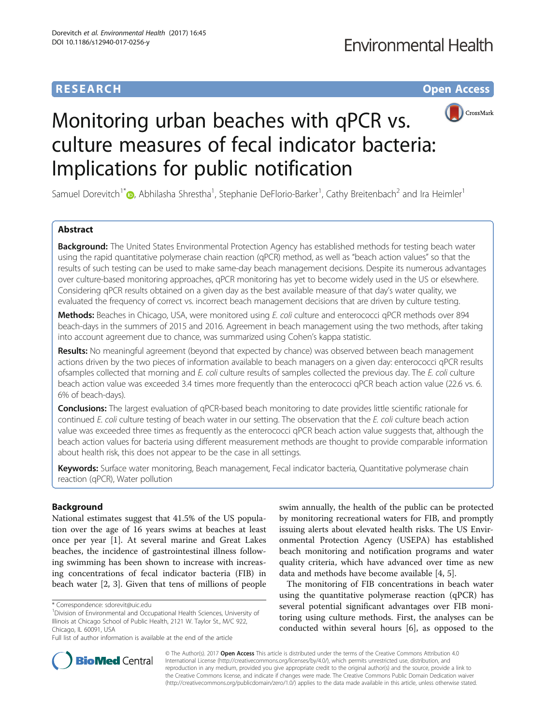## **RESEARCH CHINESE ARCH CHINESE ARCH CHINESE ARCH <b>CHINESE ARCH CHINESE ARCH CHINESE ARCH <b>CHINESE CHINESE**



# Monitoring urban beaches with qPCR vs. culture measures of fecal indicator bacteria: Implications for public notification

Samuel Dorevitch<sup>1\*</sup> (D, Abhilasha Shrestha<sup>1</sup>, Stephanie DeFlorio-Barker<sup>1</sup>, Cathy Breitenbach<sup>2</sup> and Ira Heimler<sup>1</sup>

## Abstract

Background: The United States Environmental Protection Agency has established methods for testing beach water using the rapid quantitative polymerase chain reaction (qPCR) method, as well as "beach action values" so that the results of such testing can be used to make same-day beach management decisions. Despite its numerous advantages over culture-based monitoring approaches, qPCR monitoring has yet to become widely used in the US or elsewhere. Considering qPCR results obtained on a given day as the best available measure of that day's water quality, we evaluated the frequency of correct vs. incorrect beach management decisions that are driven by culture testing.

Methods: Beaches in Chicago, USA, were monitored using E. coli culture and enterococci qPCR methods over 894 beach-days in the summers of 2015 and 2016. Agreement in beach management using the two methods, after taking into account agreement due to chance, was summarized using Cohen's kappa statistic.

Results: No meaningful agreement (beyond that expected by chance) was observed between beach management actions driven by the two pieces of information available to beach managers on a given day: enterococci qPCR results ofsamples collected that morning and E. coli culture results of samples collected the previous day. The E. coli culture beach action value was exceeded 3.4 times more frequently than the enterococci qPCR beach action value (22.6 vs. 6. 6% of beach-days).

Conclusions: The largest evaluation of qPCR-based beach monitoring to date provides little scientific rationale for continued E. coli culture testing of beach water in our setting. The observation that the E. coli culture beach action value was exceeded three times as frequently as the enterococci qPCR beach action value suggests that, although the beach action values for bacteria using different measurement methods are thought to provide comparable information about health risk, this does not appear to be the case in all settings.

Keywords: Surface water monitoring, Beach management, Fecal indicator bacteria, Quantitative polymerase chain reaction (qPCR), Water pollution

## Background

National estimates suggest that 41.5% of the US population over the age of 16 years swims at beaches at least once per year [[1\]](#page-9-0). At several marine and Great Lakes beaches, the incidence of gastrointestinal illness following swimming has been shown to increase with increasing concentrations of fecal indicator bacteria (FIB) in beach water [[2, 3](#page-9-0)]. Given that tens of millions of people

swim annually, the health of the public can be protected by monitoring recreational waters for FIB, and promptly issuing alerts about elevated health risks. The US Environmental Protection Agency (USEPA) has established beach monitoring and notification programs and water quality criteria, which have advanced over time as new data and methods have become available [[4, 5\]](#page-9-0).

The monitoring of FIB concentrations in beach water using the quantitative polymerase reaction (qPCR) has several potential significant advantages over FIB monitoring using culture methods. First, the analyses can be conducted within several hours [\[6\]](#page-9-0), as opposed to the



© The Author(s). 2017 **Open Access** This article is distributed under the terms of the Creative Commons Attribution 4.0 International License [\(http://creativecommons.org/licenses/by/4.0/](http://creativecommons.org/licenses/by/4.0/)), which permits unrestricted use, distribution, and reproduction in any medium, provided you give appropriate credit to the original author(s) and the source, provide a link to the Creative Commons license, and indicate if changes were made. The Creative Commons Public Domain Dedication waiver [\(http://creativecommons.org/publicdomain/zero/1.0/](http://creativecommons.org/publicdomain/zero/1.0/)) applies to the data made available in this article, unless otherwise stated.

<sup>\*</sup> Correspondence: [sdorevit@uic.edu](mailto:sdorevit@uic.edu) <sup>1</sup>

<sup>&</sup>lt;sup>1</sup> Division of Environmental and Occupational Health Sciences, University of Illinois at Chicago School of Public Health, 2121 W. Taylor St., M/C 922, Chicago, IL 60091, USA

Full list of author information is available at the end of the article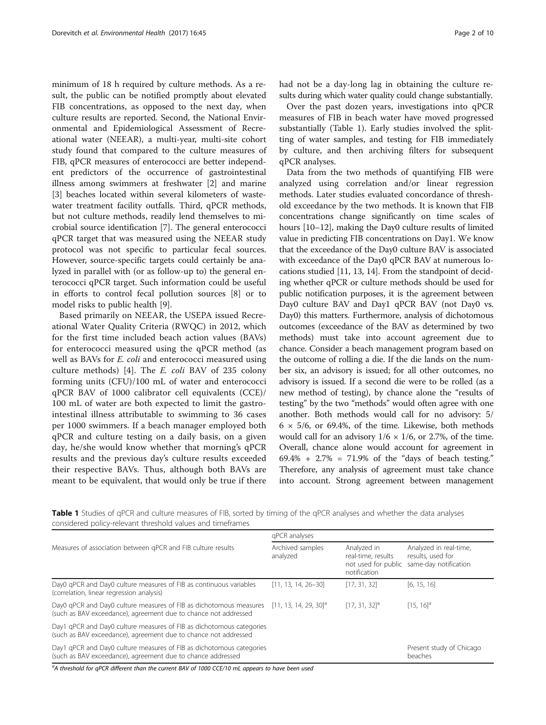minimum of 18 h required by culture methods. As a result, the public can be notified promptly about elevated FIB concentrations, as opposed to the next day, when culture results are reported. Second, the National Environmental and Epidemiological Assessment of Recreational water (NEEAR), a multi-year, multi-site cohort study found that compared to the culture measures of FIB, qPCR measures of enterococci are better independent predictors of the occurrence of gastrointestinal illness among swimmers at freshwater [[2\]](#page-9-0) and marine [[3\]](#page-9-0) beaches located within several kilometers of wastewater treatment facility outfalls. Third, qPCR methods, but not culture methods, readily lend themselves to microbial source identification [[7\]](#page-9-0). The general enterococci qPCR target that was measured using the NEEAR study protocol was not specific to particular fecal sources. However, source-specific targets could certainly be analyzed in parallel with (or as follow-up to) the general enterococci qPCR target. Such information could be useful in efforts to control fecal pollution sources [[8\]](#page-9-0) or to model risks to public health [\[9](#page-9-0)].

Based primarily on NEEAR, the USEPA issued Recreational Water Quality Criteria (RWQC) in 2012, which for the first time included beach action values (BAVs) for enterococci measured using the qPCR method (as well as BAVs for *E. coli* and enterococci measured using culture methods) [\[4](#page-9-0)]. The E. coli BAV of 235 colony forming units (CFU)/100 mL of water and enterococci qPCR BAV of 1000 calibrator cell equivalents (CCE)/ 100 mL of water are both expected to limit the gastrointestinal illness attributable to swimming to 36 cases per 1000 swimmers. If a beach manager employed both qPCR and culture testing on a daily basis, on a given day, he/she would know whether that morning's qPCR results and the previous day's culture results exceeded their respective BAVs. Thus, although both BAVs are meant to be equivalent, that would only be true if there had not be a day-long lag in obtaining the culture results during which water quality could change substantially.

Over the past dozen years, investigations into qPCR measures of FIB in beach water have moved progressed substantially (Table 1). Early studies involved the splitting of water samples, and testing for FIB immediately by culture, and then archiving filters for subsequent qPCR analyses.

Data from the two methods of quantifying FIB were analyzed using correlation and/or linear regression methods. Later studies evaluated concordance of threshold exceedance by the two methods. It is known that FIB concentrations change significantly on time scales of hours [[10](#page-9-0)–[12\]](#page-9-0), making the Day0 culture results of limited value in predicting FIB concentrations on Day1. We know that the exceedance of the Day0 culture BAV is associated with exceedance of the Day0 qPCR BAV at numerous locations studied [[11](#page-9-0), [13, 14](#page-9-0)]. From the standpoint of deciding whether qPCR or culture methods should be used for public notification purposes, it is the agreement between Day0 culture BAV and Day1 qPCR BAV (not Day0 vs. Day0) this matters. Furthermore, analysis of dichotomous outcomes (exceedance of the BAV as determined by two methods) must take into account agreement due to chance. Consider a beach management program based on the outcome of rolling a die. If the die lands on the number six, an advisory is issued; for all other outcomes, no advisory is issued. If a second die were to be rolled (as a new method of testing), by chance alone the "results of testing" by the two "methods" would often agree with one another. Both methods would call for no advisory: 5/  $6 \times 5/6$ , or 69.4%, of the time. Likewise, both methods would call for an advisory  $1/6 \times 1/6$ , or 2.7%, of the time. Overall, chance alone would account for agreement in  $69.4\% + 2.7\% = 71.9\%$  of the "days of beach testing." Therefore, any analysis of agreement must take chance into account. Strong agreement between management

| Table 1 Studies of qPCR and culture measures of FIB, sorted by timing of the qPCR analyses and whether the data analyses |  |  |  |  |  |  |  |
|--------------------------------------------------------------------------------------------------------------------------|--|--|--|--|--|--|--|
| considered policy-relevant threshold values and timeframes                                                               |  |  |  |  |  |  |  |

|                                                                                                                                         | gPCR analyses                       |                                                                          |                                                                      |
|-----------------------------------------------------------------------------------------------------------------------------------------|-------------------------------------|--------------------------------------------------------------------------|----------------------------------------------------------------------|
| Measures of association between gPCR and FIB culture results                                                                            | Archived samples<br>analyzed        | Analyzed in<br>real-time, results<br>not used for public<br>notification | Analyzed in real-time,<br>results, used for<br>same-day notification |
| Day0 gPCR and Day0 culture measures of FIB as continuous variables<br>(correlation, linear regression analysis)                         | $[11, 13, 14, 26-30]$               | [17, 31, 32]                                                             | [6, 15, 16]                                                          |
| Day0 gPCR and Day0 culture measures of FIB as dichotomous measures<br>(such as BAV exceedance), agreement due to chance not addressed   | $[11, 13, 14, 29, 30]$ <sup>a</sup> | $[17, 31, 32]$ <sup>a</sup>                                              | $[15, 16]$ <sup>a</sup>                                              |
| Day1 gPCR and Day0 culture measures of FIB as dichotomous categories<br>(such as BAV exceedance), agreement due to chance not addressed |                                     |                                                                          |                                                                      |
| Day1 qPCR and Day0 culture measures of FIB as dichotomous categories<br>(such as BAV exceedance), agreement due to chance addressed     |                                     |                                                                          | Present study of Chicago<br>beaches                                  |

 $a$  a threshold for aPCR different than the current BAV of 1000 CCE/10 mL appears to have been used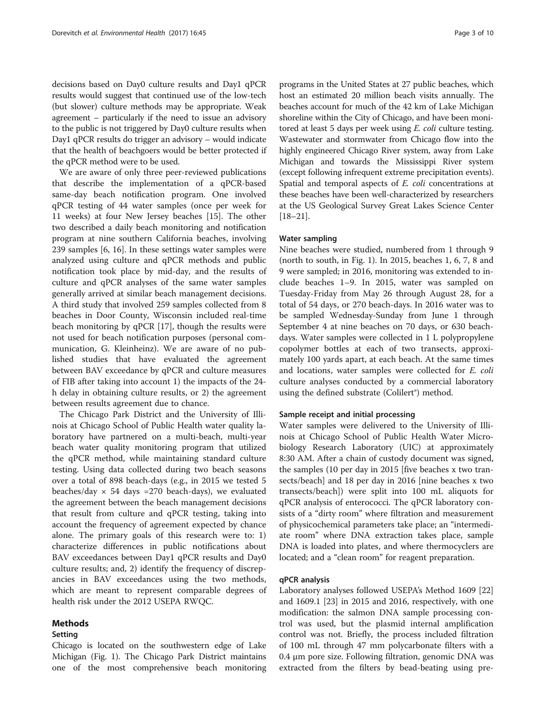decisions based on Day0 culture results and Day1 qPCR results would suggest that continued use of the low-tech (but slower) culture methods may be appropriate. Weak agreement – particularly if the need to issue an advisory to the public is not triggered by Day0 culture results when Day1 qPCR results do trigger an advisory – would indicate that the health of beachgoers would be better protected if the qPCR method were to be used.

We are aware of only three peer-reviewed publications that describe the implementation of a qPCR-based same-day beach notification program. One involved qPCR testing of 44 water samples (once per week for 11 weeks) at four New Jersey beaches [\[15](#page-9-0)]. The other two described a daily beach monitoring and notification program at nine southern California beaches, involving 239 samples [[6, 16\]](#page-9-0). In these settings water samples were analyzed using culture and qPCR methods and public notification took place by mid-day, and the results of culture and qPCR analyses of the same water samples generally arrived at similar beach management decisions. A third study that involved 259 samples collected from 8 beaches in Door County, Wisconsin included real-time beach monitoring by qPCR [[17\]](#page-9-0), though the results were not used for beach notification purposes (personal communication, G. Kleinheinz). We are aware of no published studies that have evaluated the agreement between BAV exceedance by qPCR and culture measures of FIB after taking into account 1) the impacts of the 24 h delay in obtaining culture results, or 2) the agreement between results agreement due to chance.

The Chicago Park District and the University of Illinois at Chicago School of Public Health water quality laboratory have partnered on a multi-beach, multi-year beach water quality monitoring program that utilized the qPCR method, while maintaining standard culture testing. Using data collected during two beach seasons over a total of 898 beach-days (e.g., in 2015 we tested 5 beaches/day  $\times$  54 days =270 beach-days), we evaluated the agreement between the beach management decisions that result from culture and qPCR testing, taking into account the frequency of agreement expected by chance alone. The primary goals of this research were to: 1) characterize differences in public notifications about BAV exceedances between Day1 qPCR results and Day0 culture results; and, 2) identify the frequency of discrepancies in BAV exceedances using the two methods, which are meant to represent comparable degrees of health risk under the 2012 USEPA RWQC.

## Methods

## Setting

Chicago is located on the southwestern edge of Lake Michigan (Fig. [1](#page-3-0)). The Chicago Park District maintains one of the most comprehensive beach monitoring programs in the United States at 27 public beaches, which host an estimated 20 million beach visits annually. The beaches account for much of the 42 km of Lake Michigan shoreline within the City of Chicago, and have been monitored at least 5 days per week using E. coli culture testing. Wastewater and stormwater from Chicago flow into the highly engineered Chicago River system, away from Lake Michigan and towards the Mississippi River system (except following infrequent extreme precipitation events). Spatial and temporal aspects of E. coli concentrations at these beaches have been well-characterized by researchers at the US Geological Survey Great Lakes Science Center [[18](#page-9-0)–[21\]](#page-9-0).

## Water sampling

Nine beaches were studied, numbered from 1 through 9 (north to south, in Fig. [1](#page-3-0)). In 2015, beaches 1, 6, 7, 8 and 9 were sampled; in 2016, monitoring was extended to include beaches 1–9. In 2015, water was sampled on Tuesday-Friday from May 26 through August 28, for a total of 54 days, or 270 beach-days. In 2016 water was to be sampled Wednesday-Sunday from June 1 through September 4 at nine beaches on 70 days, or 630 beachdays. Water samples were collected in 1 L polypropylene copolymer bottles at each of two transects, approximately 100 yards apart, at each beach. At the same times and locations, water samples were collected for E. coli culture analyses conducted by a commercial laboratory using the defined substrate (Colilert®) method.

## Sample receipt and initial processing

Water samples were delivered to the University of Illinois at Chicago School of Public Health Water Microbiology Research Laboratory (UIC) at approximately 8:30 AM. After a chain of custody document was signed, the samples (10 per day in 2015 [five beaches x two transects/beach] and 18 per day in 2016 [nine beaches x two transects/beach]) were split into 100 mL aliquots for qPCR analysis of enterococci. The qPCR laboratory consists of a "dirty room" where filtration and measurement of physicochemical parameters take place; an "intermediate room" where DNA extraction takes place, sample DNA is loaded into plates, and where thermocyclers are located; and a "clean room" for reagent preparation.

## qPCR analysis

Laboratory analyses followed USEPA's Method 1609 [[22](#page-9-0)] and 1609.1 [\[23\]](#page-9-0) in 2015 and 2016, respectively, with one modification: the salmon DNA sample processing control was used, but the plasmid internal amplification control was not. Briefly, the process included filtration of 100 mL through 47 mm polycarbonate filters with a 0.4 μm pore size. Following filtration, genomic DNA was extracted from the filters by bead-beating using pre-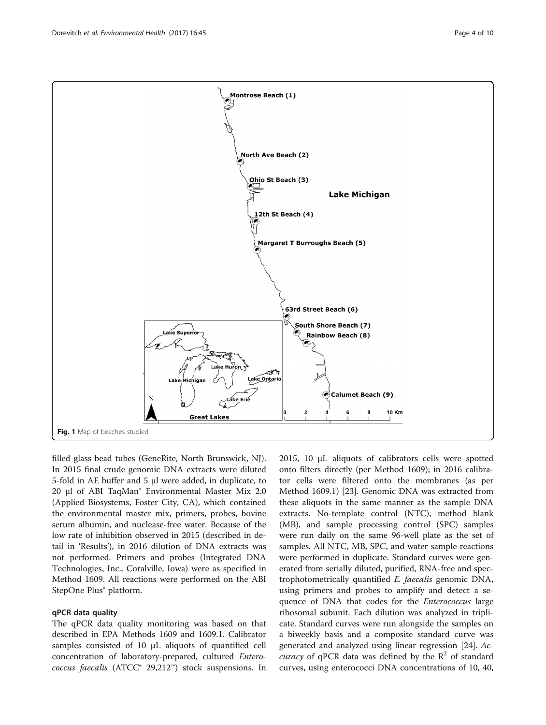<span id="page-3-0"></span>

filled glass bead tubes (GeneRite, North Brunswick, NJ). In 2015 final crude genomic DNA extracts were diluted 5-fold in AE buffer and 5 μl were added, in duplicate, to 20 μl of ABI TaqMan® Environmental Master Mix 2.0 (Applied Biosystems, Foster City, CA), which contained the environmental master mix, primers, probes, bovine serum albumin, and nuclease-free water. Because of the low rate of inhibition observed in 2015 (described in detail in '[Results](#page-4-0)'), in 2016 dilution of DNA extracts was not performed. Primers and probes (Integrated DNA Technologies, Inc., Coralville, Iowa) were as specified in Method 1609. All reactions were performed on the ABI StepOne Plus® platform.

## qPCR data quality

The qPCR data quality monitoring was based on that described in EPA Methods 1609 and 1609.1. Calibrator samples consisted of 10 μL aliquots of quantified cell concentration of laboratory-prepared, cultured Enterococcus faecalis (ATCC® 29,212™) stock suspensions. In 2015, 10 μL aliquots of calibrators cells were spotted onto filters directly (per Method 1609); in 2016 calibrator cells were filtered onto the membranes (as per Method 1609.1) [\[23](#page-9-0)]. Genomic DNA was extracted from these aliquots in the same manner as the sample DNA extracts. No-template control (NTC), method blank (MB), and sample processing control (SPC) samples were run daily on the same 96-well plate as the set of samples. All NTC, MB, SPC, and water sample reactions were performed in duplicate. Standard curves were generated from serially diluted, purified, RNA-free and spectrophotometrically quantified E. faecalis genomic DNA, using primers and probes to amplify and detect a sequence of DNA that codes for the *Enterococcus* large ribosomal subunit. Each dilution was analyzed in triplicate. Standard curves were run alongside the samples on a biweekly basis and a composite standard curve was generated and analyzed using linear regression [\[24\]](#page-9-0). Ac*curacy* of qPCR data was defined by the  $\mathbb{R}^2$  of standard curves, using enterococci DNA concentrations of 10, 40,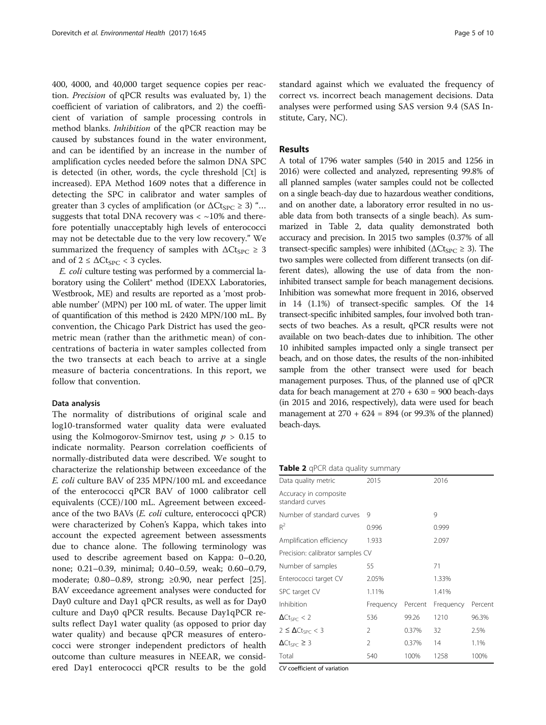<span id="page-4-0"></span>400, 4000, and 40,000 target sequence copies per reaction. Precision of qPCR results was evaluated by, 1) the coefficient of variation of calibrators, and 2) the coefficient of variation of sample processing controls in method blanks. Inhibition of the qPCR reaction may be caused by substances found in the water environment, and can be identified by an increase in the number of amplification cycles needed before the salmon DNA SPC is detected (in other, words, the cycle threshold [Ct] is increased). EPA Method 1609 notes that a difference in detecting the SPC in calibrator and water samples of greater than 3 cycles of amplification (or  $\Delta \rm{Ct}_{SPC} \geq 3$ ) "... suggests that total DNA recovery was  $\langle \sim 10\%$  and therefore potentially unacceptably high levels of enterococci may not be detectable due to the very low recovery." We summarized the frequency of samples with  $\Delta \text{Ct}_{SPC} \geq 3$ and of  $2 \leq \Delta \text{Ct}_{SPC} < 3$  cycles.

E. coli culture testing was performed by a commercial laboratory using the Colilert<sup>®</sup> method (IDEXX Laboratories, Westbrook, ME) and results are reported as a 'most probable number' (MPN) per 100 mL of water. The upper limit of quantification of this method is 2420 MPN/100 mL. By convention, the Chicago Park District has used the geometric mean (rather than the arithmetic mean) of concentrations of bacteria in water samples collected from the two transects at each beach to arrive at a single measure of bacteria concentrations. In this report, we follow that convention.

## Data analysis

The normality of distributions of original scale and log10-transformed water quality data were evaluated using the Kolmogorov-Smirnov test, using  $p > 0.15$  to indicate normality. Pearson correlation coefficients of normally-distributed data were described. We sought to characterize the relationship between exceedance of the E. coli culture BAV of 235 MPN/100 mL and exceedance of the enterococci qPCR BAV of 1000 calibrator cell equivalents (CCE)/100 mL. Agreement between exceedance of the two BAVs (E. coli culture, enterococci qPCR) were characterized by Cohen's Kappa, which takes into account the expected agreement between assessments due to chance alone. The following terminology was used to describe agreement based on Kappa: 0–0.20, none; 0.21–0.39, minimal; 0.40–0.59, weak; 0.60–0.79, moderate; 0.80–0.89, strong; ≥0.90, near perfect [\[25](#page-9-0)]. BAV exceedance agreement analyses were conducted for Day0 culture and Day1 qPCR results, as well as for Day0 culture and Day0 qPCR results. Because Day1qPCR results reflect Day1 water quality (as opposed to prior day water quality) and because qPCR measures of enterococci were stronger independent predictors of health outcome than culture measures in NEEAR, we considered Day1 enterococci qPCR results to be the gold standard against which we evaluated the frequency of correct vs. incorrect beach management decisions. Data analyses were performed using SAS version 9.4 (SAS Institute, Cary, NC).

## Results

A total of 1796 water samples (540 in 2015 and 1256 in 2016) were collected and analyzed, representing 99.8% of all planned samples (water samples could not be collected on a single beach-day due to hazardous weather conditions, and on another date, a laboratory error resulted in no usable data from both transects of a single beach). As summarized in Table 2, data quality demonstrated both accuracy and precision. In 2015 two samples (0.37% of all transect-specific samples) were inhibited ( $\Delta C t_{SPC} \geq 3$ ). The two samples were collected from different transects (on different dates), allowing the use of data from the noninhibited transect sample for beach management decisions. Inhibition was somewhat more frequent in 2016, observed in 14 (1.1%) of transect-specific samples. Of the 14 transect-specific inhibited samples, four involved both transects of two beaches. As a result, qPCR results were not available on two beach-dates due to inhibition. The other 10 inhibited samples impacted only a single transect per beach, and on those dates, the results of the non-inhibited sample from the other transect were used for beach management purposes. Thus, of the planned use of qPCR data for beach management at  $270 + 630 = 900$  beach-days (in 2015 and 2016, respectively), data were used for beach management at  $270 + 624 = 894$  (or 99.3% of the planned) beach-days.

#### Table 2 qPCR data quality summary

| Data quality metric                      | 2015           |         | 2016      |         |
|------------------------------------------|----------------|---------|-----------|---------|
| Accuracy in composite<br>standard curves |                |         |           |         |
| Number of standard curves                | 9              |         | 9         |         |
| $R^2$                                    | 0.996          |         | 0.999     |         |
| Amplification efficiency                 | 1.933          |         | 2.097     |         |
| Precision: calibrator samples CV         |                |         |           |         |
| Number of samples                        | 55             |         | 71        |         |
| Enterococci target CV                    | 2.05%          |         | 1.33%     |         |
| SPC target CV                            | 1.11%          |         | 1.41%     |         |
| Inhibition                               | Frequency      | Percent | Frequency | Percent |
| $\Delta$ Ctsp $_C$ < 2                   | 536            | 99.26   | 1210      | 96.3%   |
| $2 \leq \Delta C t_{SPC} < 3$            | $\mathfrak{D}$ | 0.37%   | 32        | 2.5%    |
| $\Delta$ Ct <sub>SPC</sub> $\geq 3$      | 2              | 0.37%   | 14        | 1.1%    |
| Total                                    | 540            | 100%    | 1258      | 100%    |
|                                          |                |         |           |         |

CV coefficient of variation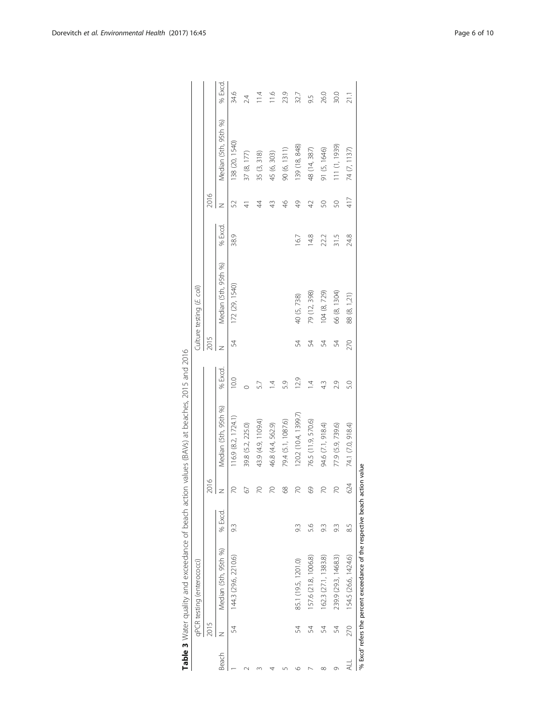<span id="page-5-0"></span>

|          |      | aPCR testing (enterococci)                                         |         |                |                      |           |      | Culture testing (E. coli) |        |               |                      |                |
|----------|------|--------------------------------------------------------------------|---------|----------------|----------------------|-----------|------|---------------------------|--------|---------------|----------------------|----------------|
|          | 2015 |                                                                    |         | $\frac{6}{10}$ |                      |           | 2015 |                           |        | 2016          |                      |                |
| Beach    |      | Median (5th, 95th %)                                               | % Excd. |                | Median (5th, 95th %) | % Excd.   |      | Median (5th, 95th %)      | % Excd |               | Median (5th, 95th %) | % Excd         |
|          | 54   | 144.3 (29.6, 2210.6)                                               | 93      |                | 116.9(8.2, 1724.1)   | 0.01      | 54   | 172 (29, 1540)            | 38.9   |               | 138 (20, 1540)       | 34.6           |
|          |      |                                                                    |         | 67             | 39.8 (5.2, 225.0)    |           |      |                           |        |               | 37 (8, 177)          | Ž.             |
|          |      |                                                                    |         |                | 43.9 (4.9, 1109.4)   |           |      |                           |        |               | 35 (3, 318)          | $\overline{4}$ |
|          |      |                                                                    |         |                | 46.8 (4.4, 562.9)    |           |      |                           |        |               | 45 (6, 303)          |                |
|          |      |                                                                    |         | 89             | 794 (5.1, 1087.6)    | 5.9       |      |                           |        | $\frac{4}{6}$ | 90 (6, 1311)         | 23.9           |
| O        | 54   | 85.1 (19.5, 1201.0)                                                | 93      | ◯              | 120.2 (10.4, 1399.7) | 12.9      | 54   | 40 (5,738)                | 167    | 49            | 139 (18, 848)        | 32.7           |
|          | 54   | 157.6 (21.8, 1006.8)                                               | 9.9     | ന<br>Ō         | 76.5 (11.9, 570.6)   | $\bar{4}$ | 54   | 79 (12, 398)              | 14.8   |               | 48 (14, 387)         | 93             |
| $\infty$ | 54   | 162.3 (27.1, 1383.8)                                               | 93      | ◯              | 94.6 (7.1, 918.4)    | 43        | 54   | 104 (8, 729)              | 22.2   |               | 91 (5, 1646)         | 26.0           |
| Ō        | 54   | 239.9 (29.3, 1468.3)                                               | 93      |                | 77.9 (5.9, 739.6)    | 2.9       | 54   | 66 (8, 1304)              | 31.5   | SO            | 111 (1, 1939)        | 30.0           |
|          |      | 270 154.5 (26.6, 1424.6)                                           | 85      | 24<br>७        | 74.1 (7.0, 918.4)    | 5.0       | 270  | 88 (8, 1,21)              | 24.8   | 417           | 74 (7, 1137)         | こ<br>N         |
|          |      | % Excd' refers the percent exceedance of the respective beach acti |         | tion value     |                      |           |      |                           |        |               |                      |                |

| י שב בין המשפח המשפח המוני המוני המוני המ<br>しょう ここく |  |
|------------------------------------------------------|--|
|                                                      |  |
|                                                      |  |
|                                                      |  |
|                                                      |  |
|                                                      |  |
|                                                      |  |
| . HAVC at he                                         |  |
|                                                      |  |
|                                                      |  |
| ニュリココニンニン                                            |  |
|                                                      |  |
| " Hirls." とのいになる こうかのう しょくしょう しょうかん こうしいしょう          |  |
|                                                      |  |
|                                                      |  |
|                                                      |  |
|                                                      |  |
|                                                      |  |
|                                                      |  |
|                                                      |  |
|                                                      |  |
|                                                      |  |
|                                                      |  |
|                                                      |  |
| 55                                                   |  |
| )<br>)                                               |  |
|                                                      |  |
|                                                      |  |
| $\sim$ $\sim$ $\sim$ $\sim$ $\sim$ $\sim$<br>י<br>ט  |  |
|                                                      |  |
| د<br>ا                                               |  |
|                                                      |  |

 $\circ$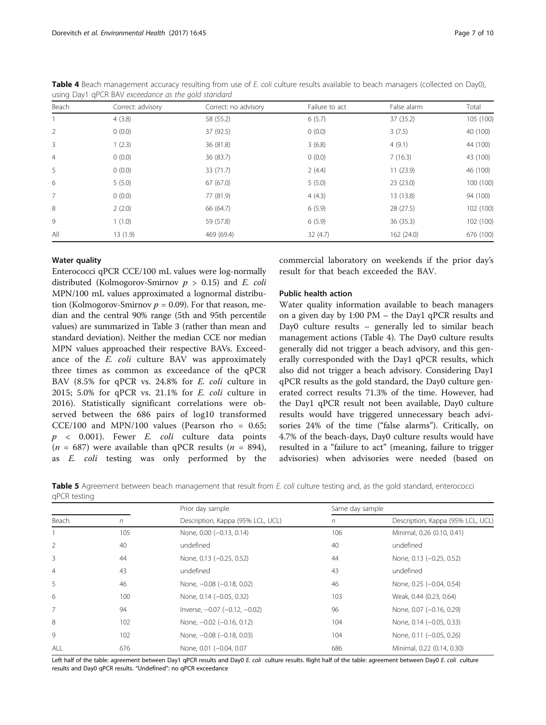| Beach          | Correct: advisory | Correct: no advisory | Failure to act | False alarm | Total     |
|----------------|-------------------|----------------------|----------------|-------------|-----------|
|                | 4(3.8)            | 58 (55.2)            | 6(5.7)         | 37 (35.2)   | 105 (100) |
| 2              | 0(0.0)            | 37 (92.5)            | 0(0.0)         | 3(7.5)      | 40 (100)  |
| 3              | 1(2.3)            | 36 (81.8)            | 3(6.8)         | 4(9.1)      | 44 (100)  |
| $\overline{4}$ | 0(0.0)            | 36 (83.7)            | 0(0.0)         | 7(16.3)     | 43 (100)  |
| 5              | 0(0.0)            | 33 (71.7)            | 2(4.4)         | 11(23.9)    | 46 (100)  |
| 6              | 5(5.0)            | 67(67.0)             | 5(5.0)         | 23(23.0)    | 100 (100) |
| $\overline{7}$ | 0(0.0)            | 77 (81.9)            | 4(4.3)         | 13 (13.8)   | 94 (100)  |
| 8              | 2(2.0)            | 66 (64.7)            | 6(5.9)         | 28 (27.5)   | 102 (100) |
| 9              | 1(1.0)            | 59 (57.8)            | 6(5.9)         | 36 (35.3)   | 102 (100) |
| All            | 13(1.9)           | 469 (69.4)           | 32(4.7)        | 162 (24.0)  | 676 (100) |

<span id="page-6-0"></span>Table 4 Beach management accuracy resulting from use of E. coli culture results available to beach managers (collected on Day0), using Day1 qPCR BAV exceedance as the gold standard

## Water quality

Enterococci qPCR CCE/100 mL values were log-normally distributed (Kolmogorov-Smirnov  $p > 0.15$ ) and E. coli MPN/100 mL values approximated a lognormal distribution (Kolmogorov-Smirnov  $p = 0.09$ ). For that reason, median and the central 90% range (5th and 95th percentile values) are summarized in Table [3](#page-5-0) (rather than mean and standard deviation). Neither the median CCE nor median MPN values approached their respective BAVs. Exceedance of the E. coli culture BAV was approximately three times as common as exceedance of the qPCR BAV (8.5% for qPCR vs. 24.8% for E. coli culture in 2015; 5.0% for qPCR vs. 21.1% for E. coli culture in 2016). Statistically significant correlations were observed between the 686 pairs of log10 transformed CCE/100 and MPN/100 values (Pearson rho = 0.65;  $p \sim 0.001$ ). Fewer *E. coli* culture data points  $(n = 687)$  were available than qPCR results  $(n = 894)$ , as E. coli testing was only performed by the commercial laboratory on weekends if the prior day's result for that beach exceeded the BAV.

## Public health action

Water quality information available to beach managers on a given day by 1:00 PM – the Day1 qPCR results and Day0 culture results – generally led to similar beach management actions (Table 4). The Day0 culture results generally did not trigger a beach advisory, and this generally corresponded with the Day1 qPCR results, which also did not trigger a beach advisory. Considering Day1 qPCR results as the gold standard, the Day0 culture generated correct results 71.3% of the time. However, had the Day1 qPCR result not been available, Day0 culture results would have triggered unnecessary beach advisories 24% of the time ("false alarms"). Critically, on 4.7% of the beach-days, Day0 culture results would have resulted in a "failure to act" (meaning, failure to trigger advisories) when advisories were needed (based on

| Table 5 Agreement between beach management that result from E, coli culture testing and, as the gold standard, enterococci |  |  |  |
|----------------------------------------------------------------------------------------------------------------------------|--|--|--|
| qPCR testing                                                                                                               |  |  |  |

|                |     | Prior day sample                  | Same day sample |                                   |
|----------------|-----|-----------------------------------|-----------------|-----------------------------------|
| Beach          | n   | Description, Kappa (95% LCL, UCL) | n               | Description, Kappa (95% LCL, UCL) |
|                | 105 | None, 0.00 (-0.13, 0.14)          | 106             | Minimal, 0.26 (0.10, 0.41)        |
| 2              | 40  | undefined                         | 40              | undefined                         |
| 3              | 44  | None, 0.13 (-0.25, 0.52)          | 44              | None, 0.13 (-0.25, 0.52)          |
| $\overline{4}$ | 43  | undefined                         | 43              | undefined                         |
| 5              | 46  | None, -0.08 (-0.18, 0.02)         | 46              | None, 0.25 (-0.04, 0.54)          |
| 6              | 100 | None, 0.14 (-0.05, 0.32)          | 103             | Weak, 0.44 (0.23, 0.64)           |
| $\overline{7}$ | 94  | Inverse, $-0.07$ $(-0.12, -0.02)$ | 96              | None, 0.07 (-0.16, 0.29)          |
| 8              | 102 | None, -0.02 (-0.16, 0.12)         | 104             | None, 0.14 (-0.05, 0.33)          |
| 9              | 102 | None, -0.08 (-0.18, 0.03)         | 104             | None, 0.11 (-0.05, 0.26)          |
| ALL            | 676 | None, 0.01 (-0.04, 0.07)          | 686             | Minimal, 0.22 (0.14, 0.30)        |

Left half of the table: agreement between Day1 qPCR results and Day0 E. coli culture results. Right half of the table: agreement between Day0 E. coli culture results and Day0 qPCR results. "Undefined": no qPCR exceedance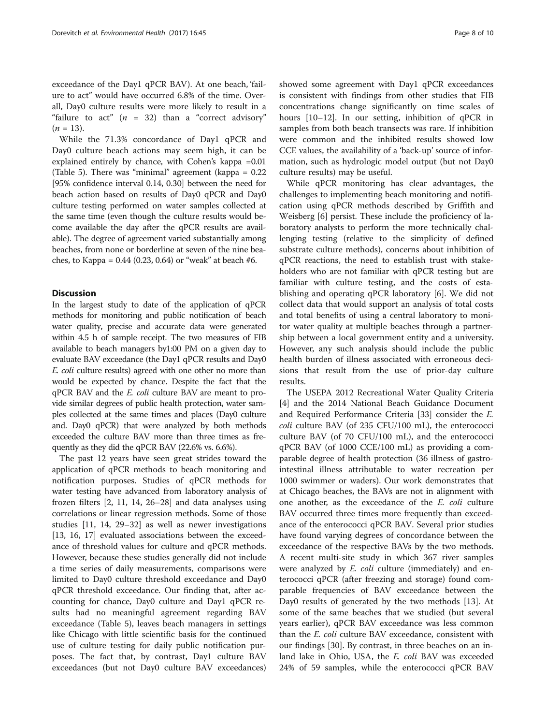exceedance of the Day1 qPCR BAV). At one beach, 'failure to act" would have occurred 6.8% of the time. Overall, Day0 culture results were more likely to result in a "failure to act"  $(n = 32)$  than a "correct advisory"  $(n = 13)$ .

While the 71.3% concordance of Day1 qPCR and Day0 culture beach actions may seem high, it can be explained entirely by chance, with Cohen's kappa =0.01 (Table [5](#page-6-0)). There was "minimal" agreement (kappa = 0.22 [95% confidence interval 0.14, 0.30] between the need for beach action based on results of Day0 qPCR and Day0 culture testing performed on water samples collected at the same time (even though the culture results would become available the day after the qPCR results are available). The degree of agreement varied substantially among beaches, from none or borderline at seven of the nine beaches, to Kappa =  $0.44$  (0.23, 0.64) or "weak" at beach #6.

## **Discussion**

In the largest study to date of the application of qPCR methods for monitoring and public notification of beach water quality, precise and accurate data were generated within 4.5 h of sample receipt. The two measures of FIB available to beach managers by1:00 PM on a given day to evaluate BAV exceedance (the Day1 qPCR results and Day0 E. coli culture results) agreed with one other no more than would be expected by chance. Despite the fact that the qPCR BAV and the E. coli culture BAV are meant to provide similar degrees of public health protection, water samples collected at the same times and places (Day0 culture and. Day0 qPCR) that were analyzed by both methods exceeded the culture BAV more than three times as frequently as they did the qPCR BAV (22.6% vs. 6.6%).

The past 12 years have seen great strides toward the application of qPCR methods to beach monitoring and notification purposes. Studies of qPCR methods for water testing have advanced from laboratory analysis of frozen filters [\[2](#page-9-0), [11](#page-9-0), [14](#page-9-0), [26](#page-9-0)–[28\]](#page-9-0) and data analyses using correlations or linear regression methods. Some of those studies [[11, 14](#page-9-0), [29](#page-9-0)–[32](#page-9-0)] as well as newer investigations [[13, 16, 17\]](#page-9-0) evaluated associations between the exceedance of threshold values for culture and qPCR methods. However, because these studies generally did not include a time series of daily measurements, comparisons were limited to Day0 culture threshold exceedance and Day0 qPCR threshold exceedance. Our finding that, after accounting for chance, Day0 culture and Day1 qPCR results had no meaningful agreement regarding BAV exceedance (Table [5\)](#page-6-0), leaves beach managers in settings like Chicago with little scientific basis for the continued use of culture testing for daily public notification purposes. The fact that, by contrast, Day1 culture BAV exceedances (but not Day0 culture BAV exceedances)

showed some agreement with Day1 qPCR exceedances is consistent with findings from other studies that FIB concentrations change significantly on time scales of hours [[10](#page-9-0)–[12](#page-9-0)]. In our setting, inhibition of qPCR in samples from both beach transects was rare. If inhibition were common and the inhibited results showed low CCE values, the availability of a 'back-up' source of information, such as hydrologic model output (but not Day0 culture results) may be useful.

While qPCR monitoring has clear advantages, the challenges to implementing beach monitoring and notification using qPCR methods described by Griffith and Weisberg [[6](#page-9-0)] persist. These include the proficiency of laboratory analysts to perform the more technically challenging testing (relative to the simplicity of defined substrate culture methods), concerns about inhibition of qPCR reactions, the need to establish trust with stakeholders who are not familiar with qPCR testing but are familiar with culture testing, and the costs of establishing and operating qPCR laboratory [[6](#page-9-0)]. We did not collect data that would support an analysis of total costs and total benefits of using a central laboratory to monitor water quality at multiple beaches through a partnership between a local government entity and a university. However, any such analysis should include the public health burden of illness associated with erroneous decisions that result from the use of prior-day culture results.

The USEPA 2012 Recreational Water Quality Criteria [[4\]](#page-9-0) and the 2014 National Beach Guidance Document and Required Performance Criteria [[33](#page-9-0)] consider the E. coli culture BAV (of 235 CFU/100 mL), the enterococci culture BAV (of 70 CFU/100 mL), and the enterococci qPCR BAV (of 1000 CCE/100 mL) as providing a comparable degree of health protection (36 illness of gastrointestinal illness attributable to water recreation per 1000 swimmer or waders). Our work demonstrates that at Chicago beaches, the BAVs are not in alignment with one another, as the exceedance of the E. coli culture BAV occurred three times more frequently than exceedance of the enterococci qPCR BAV. Several prior studies have found varying degrees of concordance between the exceedance of the respective BAVs by the two methods. A recent multi-site study in which 367 river samples were analyzed by E. coli culture (immediately) and enterococci qPCR (after freezing and storage) found comparable frequencies of BAV exceedance between the Day0 results of generated by the two methods [\[13\]](#page-9-0). At some of the same beaches that we studied (but several years earlier), qPCR BAV exceedance was less common than the *E. coli* culture BAV exceedance, consistent with our findings [[30](#page-9-0)]. By contrast, in three beaches on an inland lake in Ohio, USA, the E. coli BAV was exceeded 24% of 59 samples, while the enterococci qPCR BAV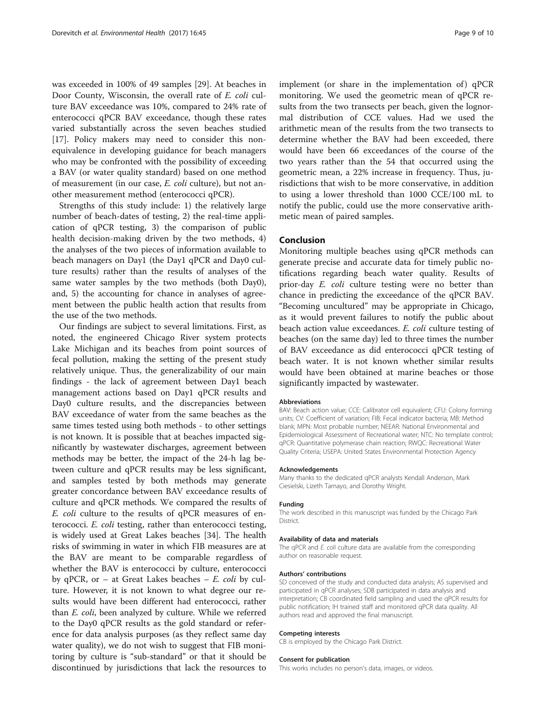was exceeded in 100% of 49 samples [\[29](#page-9-0)]. At beaches in Door County, Wisconsin, the overall rate of E. coli culture BAV exceedance was 10%, compared to 24% rate of enterococci qPCR BAV exceedance, though these rates varied substantially across the seven beaches studied [[17\]](#page-9-0). Policy makers may need to consider this nonequivalence in developing guidance for beach managers who may be confronted with the possibility of exceeding a BAV (or water quality standard) based on one method of measurement (in our case, E. coli culture), but not another measurement method (enterococci qPCR).

Strengths of this study include: 1) the relatively large number of beach-dates of testing, 2) the real-time application of qPCR testing, 3) the comparison of public health decision-making driven by the two methods, 4) the analyses of the two pieces of information available to beach managers on Day1 (the Day1 qPCR and Day0 culture results) rather than the results of analyses of the same water samples by the two methods (both Day0), and, 5) the accounting for chance in analyses of agreement between the public health action that results from the use of the two methods.

Our findings are subject to several limitations. First, as noted, the engineered Chicago River system protects Lake Michigan and its beaches from point sources of fecal pollution, making the setting of the present study relatively unique. Thus, the generalizability of our main findings - the lack of agreement between Day1 beach management actions based on Day1 qPCR results and Day0 culture results, and the discrepancies between BAV exceedance of water from the same beaches as the same times tested using both methods - to other settings is not known. It is possible that at beaches impacted significantly by wastewater discharges, agreement between methods may be better, the impact of the 24-h lag between culture and qPCR results may be less significant, and samples tested by both methods may generate greater concordance between BAV exceedance results of culture and qPCR methods. We compared the results of E. coli culture to the results of qPCR measures of enterococci. E. coli testing, rather than enterococci testing, is widely used at Great Lakes beaches [[34\]](#page-9-0). The health risks of swimming in water in which FIB measures are at the BAV are meant to be comparable regardless of whether the BAV is enterococci by culture, enterococci by qPCR, or – at Great Lakes beaches –  $E$ . coli by culture. However, it is not known to what degree our results would have been different had enterococci, rather than E. coli, been analyzed by culture. While we referred to the Day0 qPCR results as the gold standard or reference for data analysis purposes (as they reflect same day water quality), we do not wish to suggest that FIB monitoring by culture is "sub-standard" or that it should be discontinued by jurisdictions that lack the resources to

implement (or share in the implementation of)  $qPCR$ monitoring. We used the geometric mean of qPCR results from the two transects per beach, given the lognormal distribution of CCE values. Had we used the arithmetic mean of the results from the two transects to determine whether the BAV had been exceeded, there would have been 66 exceedances of the course of the two years rather than the 54 that occurred using the geometric mean, a 22% increase in frequency. Thus, jurisdictions that wish to be more conservative, in addition to using a lower threshold than 1000 CCE/100 mL to notify the public, could use the more conservative arithmetic mean of paired samples.

## Conclusion

Monitoring multiple beaches using qPCR methods can generate precise and accurate data for timely public notifications regarding beach water quality. Results of prior-day E. coli culture testing were no better than chance in predicting the exceedance of the qPCR BAV. "Becoming uncultured" may be appropriate in Chicago, as it would prevent failures to notify the public about beach action value exceedances. E. coli culture testing of beaches (on the same day) led to three times the number of BAV exceedance as did enterococci qPCR testing of beach water. It is not known whether similar results would have been obtained at marine beaches or those significantly impacted by wastewater.

#### Abbreviations

BAV: Beach action value; CCE: Calibrator cell equivalent; CFU: Colony forming units; CV: Coefficient of variation; FIB: Fecal indicator bacteria; MB: Method blank; MPN: Most probable number; NEEAR: National Environmental and Epidemiological Assessment of Recreational water; NTC: No template control; qPCR: Quantitative polymerase chain reaction; RWQC: Recreational Water Quality Criteria; USEPA: United States Environmental Protection Agency

#### Acknowledgements

Many thanks to the dedicated qPCR analysts Kendall Anderson, Mark Ciesielski, Lizeth Tamayo, and Dorothy Wright.

## Funding

The work described in this manuscript was funded by the Chicago Park District.

#### Availability of data and materials

The qPCR and E. coli culture data are available from the corresponding author on reasonable request.

#### Authors' contributions

SD conceived of the study and conducted data analysis; AS supervised and participated in qPCR analyses; SDB participated in data analysis and interpretation; CB coordinated field sampling and used the qPCR results for public notification; IH trained staff and monitored qPCR data quality. All authors read and approved the final manuscript.

#### Competing interests

CB is employed by the Chicago Park District.

#### Consent for publication

This works includes no person's data, images, or videos.